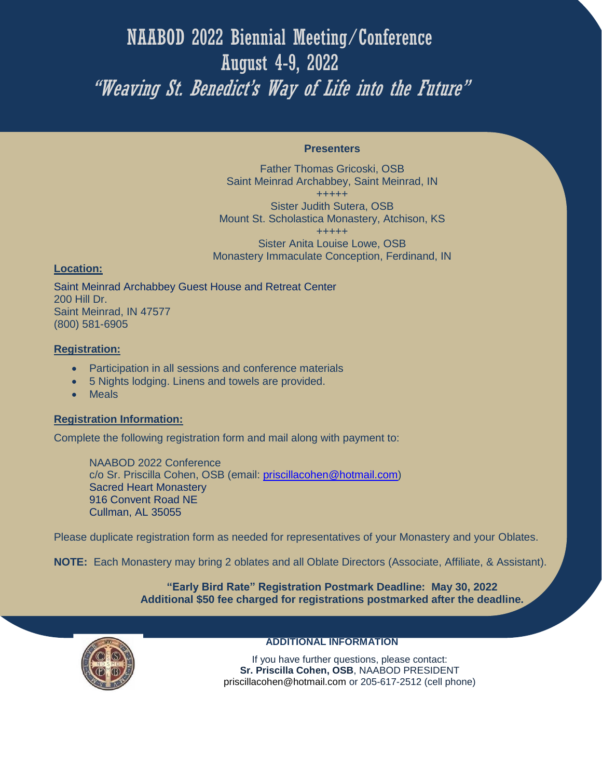# NAABOD 2022 Biennial Meeting/Conference August 4-9, 2022 "Weaving St. Benedict's Way of Life into the Future"

#### **Presenters**

Father Thomas Gricoski, OSB Saint Meinrad Archabbey, Saint Meinrad, IN +++++ Sister Judith Sutera, OSB Mount St. Scholastica Monastery, Atchison, KS +++++ Sister Anita Louise Lowe, OSB Monastery Immaculate Conception, Ferdinand, IN

### **Location:**

Saint Meinrad Archabbey Guest House and Retreat Center 200 Hill Dr. Saint Meinrad, IN 47577 (800) 581-6905

## **Registration:**

- Participation in all sessions and conference materials
- 5 Nights lodging. Linens and towels are provided.
- Meals

## **Registration Information:**

Complete the following registration form and mail along with payment to:

NAABOD 2022 Conference c/o Sr. Priscilla Cohen, OSB (email: [priscillacohen@hotmail.com\)](mailto:priscillacohen@hotmail.com) Sacred Heart Monastery 916 Convent Road NE Cullman, AL 35055

Please duplicate registration form as needed for representatives of your Monastery and your Oblates.

**NOTE:** Each Monastery may bring 2 oblates and all Oblate Directors (Associate, Affiliate, & Assistant).

**"Early Bird Rate" Registration Postmark Deadline: May 30, 2022 Additional \$50 fee charged for registrations postmarked after the deadline.**



#### **ADDITIONAL INFORMATION**

If you have further questions, please contact: **Sr. Priscilla Cohen, OSB**, NAABOD PRESIDENT priscillacohen@hotmail.com or 205-617-2512 (cell phone)